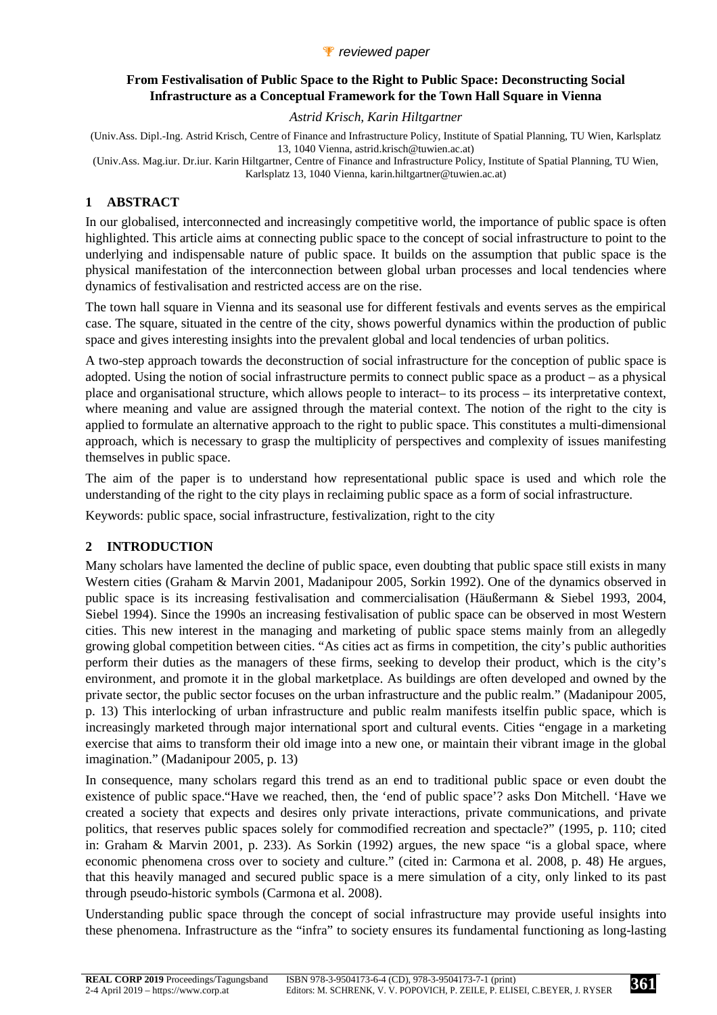### *P* reviewed paper

### **From Festivalisation of Public Space to the Right to Public Space: Deconstructing Social Infrastructure as a Conceptual Framework for the Town Hall Square in Vienna**

### *Astrid Krisch, Karin Hiltgartner*

(Univ.Ass. Dipl.-Ing. Astrid Krisch, Centre of Finance and Infrastructure Policy, Institute of Spatial Planning, TU Wien, Karlsplatz 13, 1040 Vienna, astrid.krisch@tuwien.ac.at)

(Univ.Ass. Mag.iur. Dr.iur. Karin Hiltgartner, Centre of Finance and Infrastructure Policy, Institute of Spatial Planning, TU Wien, Karlsplatz 13, 1040 Vienna, karin.hiltgartner@tuwien.ac.at)

# **1 ABSTRACT**

In our globalised, interconnected and increasingly competitive world, the importance of public space is often highlighted. This article aims at connecting public space to the concept of social infrastructure to point to the underlying and indispensable nature of public space. It builds on the assumption that public space is the physical manifestation of the interconnection between global urban processes and local tendencies where dynamics of festivalisation and restricted access are on the rise.

The town hall square in Vienna and its seasonal use for different festivals and events serves as the empirical case. The square, situated in the centre of the city, shows powerful dynamics within the production of public space and gives interesting insights into the prevalent global and local tendencies of urban politics.

A two-step approach towards the deconstruction of social infrastructure for the conception of public space is adopted. Using the notion of social infrastructure permits to connect public space as a product – as a physical place and organisational structure, which allows people to interact– to its process – its interpretative context, where meaning and value are assigned through the material context. The notion of the right to the city is applied to formulate an alternative approach to the right to public space. This constitutes a multi-dimensional approach, which is necessary to grasp the multiplicity of perspectives and complexity of issues manifesting themselves in public space.

The aim of the paper is to understand how representational public space is used and which role the understanding of the right to the city plays in reclaiming public space as a form of social infrastructure.

Keywords: public space, social infrastructure, festivalization, right to the city

# **2 INTRODUCTION**

Many scholars have lamented the decline of public space, even doubting that public space still exists in many Western cities (Graham & Marvin 2001, Madanipour 2005, Sorkin 1992). One of the dynamics observed in public space is its increasing festivalisation and commercialisation (Häußermann & Siebel 1993, 2004, Siebel 1994). Since the 1990s an increasing festivalisation of public space can be observed in most Western cities. This new interest in the managing and marketing of public space stems mainly from an allegedly growing global competition between cities. "As cities act as firms in competition, the city's public authorities perform their duties as the managers of these firms, seeking to develop their product, which is the city's environment, and promote it in the global marketplace. As buildings are often developed and owned by the private sector, the public sector focuses on the urban infrastructure and the public realm." (Madanipour 2005, p. 13) This interlocking of urban infrastructure and public realm manifests itselfin public space, which is increasingly marketed through major international sport and cultural events. Cities "engage in a marketing exercise that aims to transform their old image into a new one, or maintain their vibrant image in the global imagination." (Madanipour 2005, p. 13)

In consequence, many scholars regard this trend as an end to traditional public space or even doubt the existence of public space."Have we reached, then, the 'end of public space'? asks Don Mitchell. 'Have we created a society that expects and desires only private interactions, private communications, and private politics, that reserves public spaces solely for commodified recreation and spectacle?" (1995, p. 110; cited in: Graham & Marvin 2001, p. 233). As Sorkin (1992) argues, the new space "is a global space, where economic phenomena cross over to society and culture." (cited in: Carmona et al. 2008, p. 48) He argues, that this heavily managed and secured public space is a mere simulation of a city, only linked to its past through pseudo-historic symbols (Carmona et al. 2008).

Understanding public space through the concept of social infrastructure may provide useful insights into these phenomena. Infrastructure as the "infra" to society ensures its fundamental functioning as long-lasting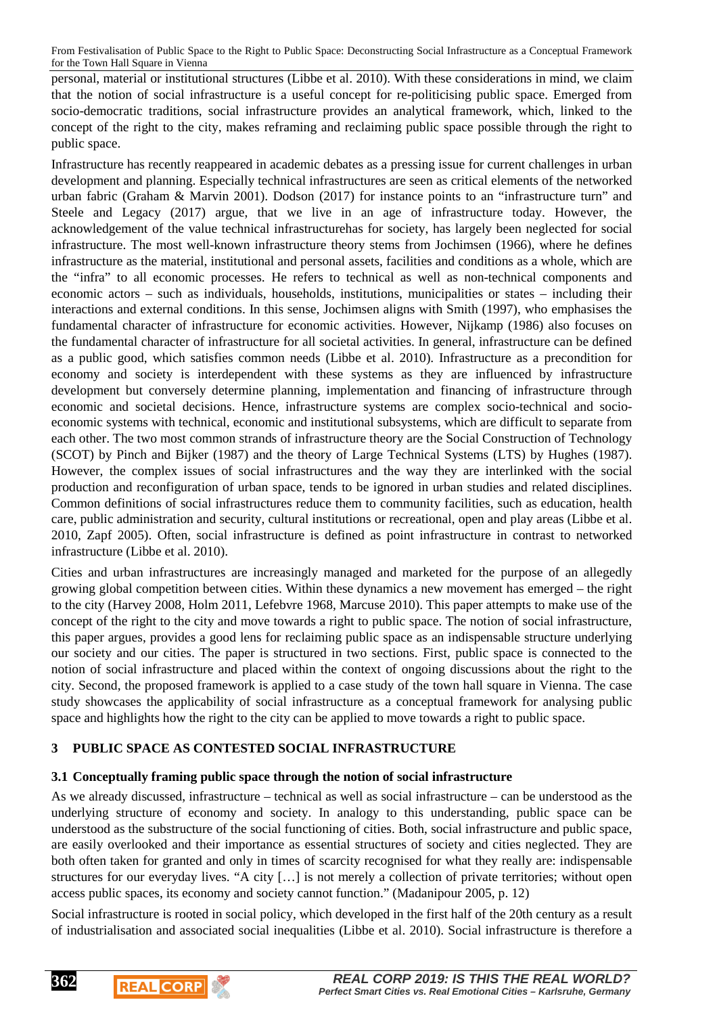personal, material or institutional structures (Libbe et al. 2010). With these considerations in mind, we claim that the notion of social infrastructure is a useful concept for re-politicising public space. Emerged from socio-democratic traditions, social infrastructure provides an analytical framework, which, linked to the concept of the right to the city, makes reframing and reclaiming public space possible through the right to public space.

Infrastructure has recently reappeared in academic debates as a pressing issue for current challenges in urban development and planning. Especially technical infrastructures are seen as critical elements of the networked urban fabric (Graham & Marvin 2001). Dodson (2017) for instance points to an "infrastructure turn" and Steele and Legacy (2017) argue, that we live in an age of infrastructure today. However, the acknowledgement of the value technical infrastructurehas for society, has largely been neglected for social infrastructure. The most well-known infrastructure theory stems from Jochimsen (1966), where he defines infrastructure as the material, institutional and personal assets, facilities and conditions as a whole, which are the "infra" to all economic processes. He refers to technical as well as non-technical components and economic actors – such as individuals, households, institutions, municipalities or states – including their interactions and external conditions. In this sense, Jochimsen aligns with Smith (1997), who emphasises the fundamental character of infrastructure for economic activities. However, Nijkamp (1986) also focuses on the fundamental character of infrastructure for all societal activities. In general, infrastructure can be defined as a public good, which satisfies common needs (Libbe et al. 2010). Infrastructure as a precondition for economy and society is interdependent with these systems as they are influenced by infrastructure development but conversely determine planning, implementation and financing of infrastructure through economic and societal decisions. Hence, infrastructure systems are complex socio-technical and socioeconomic systems with technical, economic and institutional subsystems, which are difficult to separate from each other. The two most common strands of infrastructure theory are the Social Construction of Technology (SCOT) by Pinch and Bijker (1987) and the theory of Large Technical Systems (LTS) by Hughes (1987). However, the complex issues of social infrastructures and the way they are interlinked with the social production and reconfiguration of urban space, tends to be ignored in urban studies and related disciplines. Common definitions of social infrastructures reduce them to community facilities, such as education, health care, public administration and security, cultural institutions or recreational, open and play areas (Libbe et al. 2010, Zapf 2005). Often, social infrastructure is defined as point infrastructure in contrast to networked infrastructure (Libbe et al. 2010).

Cities and urban infrastructures are increasingly managed and marketed for the purpose of an allegedly growing global competition between cities. Within these dynamics a new movement has emerged – the right to the city (Harvey 2008, Holm 2011, Lefebvre 1968, Marcuse 2010). This paper attempts to make use of the concept of the right to the city and move towards a right to public space. The notion of social infrastructure, this paper argues, provides a good lens for reclaiming public space as an indispensable structure underlying our society and our cities. The paper is structured in two sections. First, public space is connected to the notion of social infrastructure and placed within the context of ongoing discussions about the right to the city. Second, the proposed framework is applied to a case study of the town hall square in Vienna. The case study showcases the applicability of social infrastructure as a conceptual framework for analysing public space and highlights how the right to the city can be applied to move towards a right to public space.

# **3 PUBLIC SPACE AS CONTESTED SOCIAL INFRASTRUCTURE**

#### **3.1 Conceptually framing public space through the notion of social infrastructure**

As we already discussed, infrastructure – technical as well as social infrastructure – can be understood as the underlying structure of economy and society. In analogy to this understanding, public space can be understood as the substructure of the social functioning of cities. Both, social infrastructure and public space, are easily overlooked and their importance as essential structures of society and cities neglected. They are both often taken for granted and only in times of scarcity recognised for what they really are: indispensable structures for our everyday lives. "A city […] is not merely a collection of private territories; without open access public spaces, its economy and society cannot function." (Madanipour 2005, p. 12)

Social infrastructure is rooted in social policy, which developed in the first half of the 20th century as a result of industrialisation and associated social inequalities (Libbe et al. 2010). Social infrastructure is therefore a



**REAL CORP**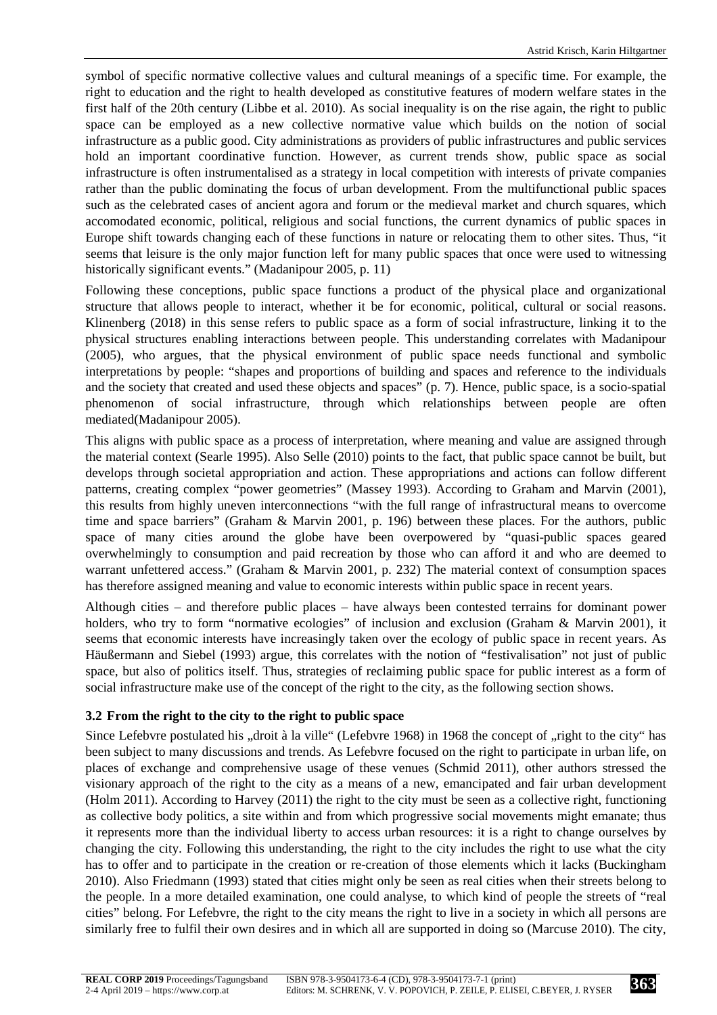symbol of specific normative collective values and cultural meanings of a specific time. For example, the right to education and the right to health developed as constitutive features of modern welfare states in the first half of the 20th century (Libbe et al. 2010). As social inequality is on the rise again, the right to public space can be employed as a new collective normative value which builds on the notion of social infrastructure as a public good. City administrations as providers of public infrastructures and public services hold an important coordinative function. However, as current trends show, public space as social infrastructure is often instrumentalised as a strategy in local competition with interests of private companies rather than the public dominating the focus of urban development. From the multifunctional public spaces such as the celebrated cases of ancient agora and forum or the medieval market and church squares, which accomodated economic, political, religious and social functions, the current dynamics of public spaces in Europe shift towards changing each of these functions in nature or relocating them to other sites. Thus, "it seems that leisure is the only major function left for many public spaces that once were used to witnessing historically significant events." (Madanipour 2005, p. 11)

Following these conceptions, public space functions a product of the physical place and organizational structure that allows people to interact, whether it be for economic, political, cultural or social reasons. Klinenberg (2018) in this sense refers to public space as a form of social infrastructure, linking it to the physical structures enabling interactions between people. This understanding correlates with Madanipour (2005), who argues, that the physical environment of public space needs functional and symbolic interpretations by people: "shapes and proportions of building and spaces and reference to the individuals and the society that created and used these objects and spaces" (p. 7). Hence, public space, is a socio-spatial phenomenon of social infrastructure, through which relationships between people are often mediated(Madanipour 2005).

This aligns with public space as a process of interpretation, where meaning and value are assigned through the material context (Searle 1995). Also Selle (2010) points to the fact, that public space cannot be built, but develops through societal appropriation and action. These appropriations and actions can follow different patterns, creating complex "power geometries" (Massey 1993). According to Graham and Marvin (2001), this results from highly uneven interconnections "with the full range of infrastructural means to overcome time and space barriers" (Graham & Marvin 2001, p. 196) between these places. For the authors, public space of many cities around the globe have been overpowered by "quasi-public spaces geared overwhelmingly to consumption and paid recreation by those who can afford it and who are deemed to warrant unfettered access." (Graham & Marvin 2001, p. 232) The material context of consumption spaces has therefore assigned meaning and value to economic interests within public space in recent years.

Although cities – and therefore public places – have always been contested terrains for dominant power holders, who try to form "normative ecologies" of inclusion and exclusion (Graham & Marvin 2001), it seems that economic interests have increasingly taken over the ecology of public space in recent years. As Häußermann and Siebel (1993) argue, this correlates with the notion of "festivalisation" not just of public space, but also of politics itself. Thus, strategies of reclaiming public space for public interest as a form of social infrastructure make use of the concept of the right to the city, as the following section shows.

# **3.2 From the right to the city to the right to public space**

Since Lefebvre postulated his "droit à la ville" (Lefebvre 1968) in 1968 the concept of "right to the city" has been subject to many discussions and trends. As Lefebvre focused on the right to participate in urban life, on places of exchange and comprehensive usage of these venues (Schmid 2011), other authors stressed the visionary approach of the right to the city as a means of a new, emancipated and fair urban development (Holm 2011). According to Harvey (2011) the right to the city must be seen as a collective right, functioning as collective body politics, a site within and from which progressive social movements might emanate; thus it represents more than the individual liberty to access urban resources: it is a right to change ourselves by changing the city. Following this understanding, the right to the city includes the right to use what the city has to offer and to participate in the creation or re-creation of those elements which it lacks (Buckingham 2010). Also Friedmann (1993) stated that cities might only be seen as real cities when their streets belong to the people. In a more detailed examination, one could analyse, to which kind of people the streets of "real cities" belong. For Lefebvre, the right to the city means the right to live in a society in which all persons are similarly free to fulfil their own desires and in which all are supported in doing so (Marcuse 2010). The city,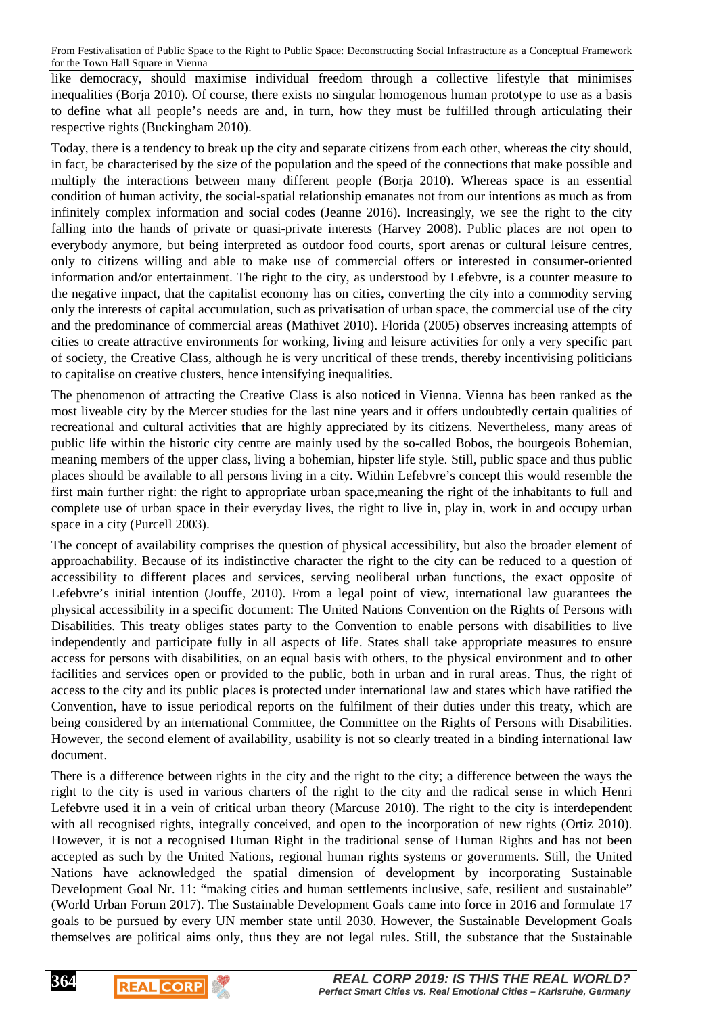like democracy, should maximise individual freedom through a collective lifestyle that minimises inequalities (Borja 2010). Of course, there exists no singular homogenous human prototype to use as a basis to define what all people's needs are and, in turn, how they must be fulfilled through articulating their respective rights (Buckingham 2010).

Today, there is a tendency to break up the city and separate citizens from each other, whereas the city should, in fact, be characterised by the size of the population and the speed of the connections that make possible and multiply the interactions between many different people (Borja 2010). Whereas space is an essential condition of human activity, the social-spatial relationship emanates not from our intentions as much as from infinitely complex information and social codes (Jeanne 2016). Increasingly, we see the right to the city falling into the hands of private or quasi-private interests (Harvey 2008). Public places are not open to everybody anymore, but being interpreted as outdoor food courts, sport arenas or cultural leisure centres, only to citizens willing and able to make use of commercial offers or interested in consumer-oriented information and/or entertainment. The right to the city, as understood by Lefebvre, is a counter measure to the negative impact, that the capitalist economy has on cities, converting the city into a commodity serving only the interests of capital accumulation, such as privatisation of urban space, the commercial use of the city and the predominance of commercial areas (Mathivet 2010). Florida (2005) observes increasing attempts of cities to create attractive environments for working, living and leisure activities for only a very specific part of society, the Creative Class, although he is very uncritical of these trends, thereby incentivising politicians to capitalise on creative clusters, hence intensifying inequalities.

The phenomenon of attracting the Creative Class is also noticed in Vienna. Vienna has been ranked as the most liveable city by the Mercer studies for the last nine years and it offers undoubtedly certain qualities of recreational and cultural activities that are highly appreciated by its citizens. Nevertheless, many areas of public life within the historic city centre are mainly used by the so-called Bobos, the bourgeois Bohemian, meaning members of the upper class, living a bohemian, hipster life style. Still, public space and thus public places should be available to all persons living in a city. Within Lefebvre's concept this would resemble the first main further right: the right to appropriate urban space,meaning the right of the inhabitants to full and complete use of urban space in their everyday lives, the right to live in, play in, work in and occupy urban space in a city (Purcell 2003).

The concept of availability comprises the question of physical accessibility, but also the broader element of approachability. Because of its indistinctive character the right to the city can be reduced to a question of accessibility to different places and services, serving neoliberal urban functions, the exact opposite of Lefebvre's initial intention (Jouffe, 2010). From a legal point of view, international law guarantees the physical accessibility in a specific document: The United Nations Convention on the Rights of Persons with Disabilities. This treaty obliges states party to the Convention to enable persons with disabilities to live independently and participate fully in all aspects of life. States shall take appropriate measures to ensure access for persons with disabilities, on an equal basis with others, to the physical environment and to other facilities and services open or provided to the public, both in urban and in rural areas. Thus, the right of access to the city and its public places is protected under international law and states which have ratified the Convention, have to issue periodical reports on the fulfilment of their duties under this treaty, which are being considered by an international Committee, the Committee on the Rights of Persons with Disabilities. However, the second element of availability, usability is not so clearly treated in a binding international law document.

There is a difference between rights in the city and the right to the city; a difference between the ways the right to the city is used in various charters of the right to the city and the radical sense in which Henri Lefebvre used it in a vein of critical urban theory (Marcuse 2010). The right to the city is interdependent with all recognised rights, integrally conceived, and open to the incorporation of new rights (Ortiz 2010). However, it is not a recognised Human Right in the traditional sense of Human Rights and has not been accepted as such by the United Nations, regional human rights systems or governments. Still, the United Nations have acknowledged the spatial dimension of development by incorporating Sustainable Development Goal Nr. 11: "making cities and human settlements inclusive, safe, resilient and sustainable" (World Urban Forum 2017). The Sustainable Development Goals came into force in 2016 and formulate 17 goals to be pursued by every UN member state until 2030. However, the Sustainable Development Goals themselves are political aims only, thus they are not legal rules. Still, the substance that the Sustainable

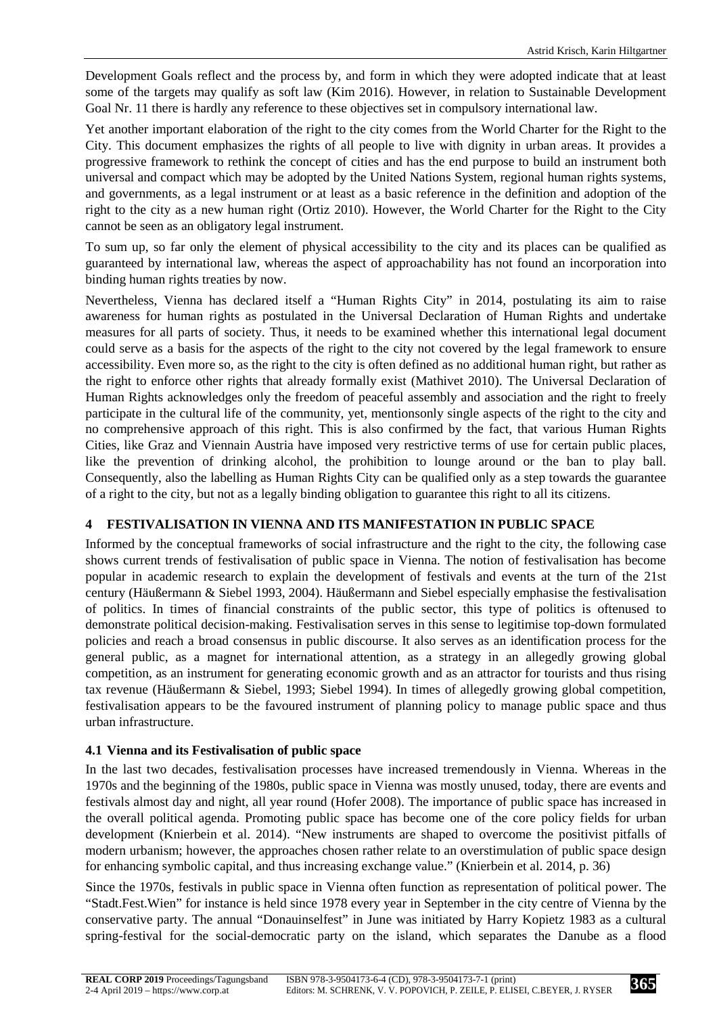Development Goals reflect and the process by, and form in which they were adopted indicate that at least some of the targets may qualify as soft law (Kim 2016). However, in relation to Sustainable Development Goal Nr. 11 there is hardly any reference to these objectives set in compulsory international law.

Yet another important elaboration of the right to the city comes from the World Charter for the Right to the City. This document emphasizes the rights of all people to live with dignity in urban areas. It provides a progressive framework to rethink the concept of cities and has the end purpose to build an instrument both universal and compact which may be adopted by the United Nations System, regional human rights systems, and governments, as a legal instrument or at least as a basic reference in the definition and adoption of the right to the city as a new human right (Ortiz 2010). However, the World Charter for the Right to the City cannot be seen as an obligatory legal instrument.

To sum up, so far only the element of physical accessibility to the city and its places can be qualified as guaranteed by international law, whereas the aspect of approachability has not found an incorporation into binding human rights treaties by now.

Nevertheless, Vienna has declared itself a "Human Rights City" in 2014, postulating its aim to raise awareness for human rights as postulated in the Universal Declaration of Human Rights and undertake measures for all parts of society. Thus, it needs to be examined whether this international legal document could serve as a basis for the aspects of the right to the city not covered by the legal framework to ensure accessibility. Even more so, as the right to the city is often defined as no additional human right, but rather as the right to enforce other rights that already formally exist (Mathivet 2010). The Universal Declaration of Human Rights acknowledges only the freedom of peaceful assembly and association and the right to freely participate in the cultural life of the community, yet, mentionsonly single aspects of the right to the city and no comprehensive approach of this right. This is also confirmed by the fact, that various Human Rights Cities, like Graz and Viennain Austria have imposed very restrictive terms of use for certain public places, like the prevention of drinking alcohol, the prohibition to lounge around or the ban to play ball. Consequently, also the labelling as Human Rights City can be qualified only as a step towards the guarantee of a right to the city, but not as a legally binding obligation to guarantee this right to all its citizens.

# **4 FESTIVALISATION IN VIENNA AND ITS MANIFESTATION IN PUBLIC SPACE**

Informed by the conceptual frameworks of social infrastructure and the right to the city, the following case shows current trends of festivalisation of public space in Vienna. The notion of festivalisation has become popular in academic research to explain the development of festivals and events at the turn of the 21st century (Häußermann & Siebel 1993, 2004). Häußermann and Siebel especially emphasise the festivalisation of politics. In times of financial constraints of the public sector, this type of politics is oftenused to demonstrate political decision-making. Festivalisation serves in this sense to legitimise top-down formulated policies and reach a broad consensus in public discourse. It also serves as an identification process for the general public, as a magnet for international attention, as a strategy in an allegedly growing global competition, as an instrument for generating economic growth and as an attractor for tourists and thus rising tax revenue (Häußermann & Siebel, 1993; Siebel 1994). In times of allegedly growing global competition, festivalisation appears to be the favoured instrument of planning policy to manage public space and thus urban infrastructure.

#### **4.1 Vienna and its Festivalisation of public space**

In the last two decades, festivalisation processes have increased tremendously in Vienna. Whereas in the 1970s and the beginning of the 1980s, public space in Vienna was mostly unused, today, there are events and festivals almost day and night, all year round (Hofer 2008). The importance of public space has increased in the overall political agenda. Promoting public space has become one of the core policy fields for urban development (Knierbein et al. 2014). "New instruments are shaped to overcome the positivist pitfalls of modern urbanism; however, the approaches chosen rather relate to an overstimulation of public space design for enhancing symbolic capital, and thus increasing exchange value." (Knierbein et al. 2014, p. 36)

Since the 1970s, festivals in public space in Vienna often function as representation of political power. The "Stadt.Fest.Wien" for instance is held since 1978 every year in September in the city centre of Vienna by the conservative party. The annual "Donauinselfest" in June was initiated by Harry Kopietz 1983 as a cultural spring-festival for the social-democratic party on the island, which separates the Danube as a flood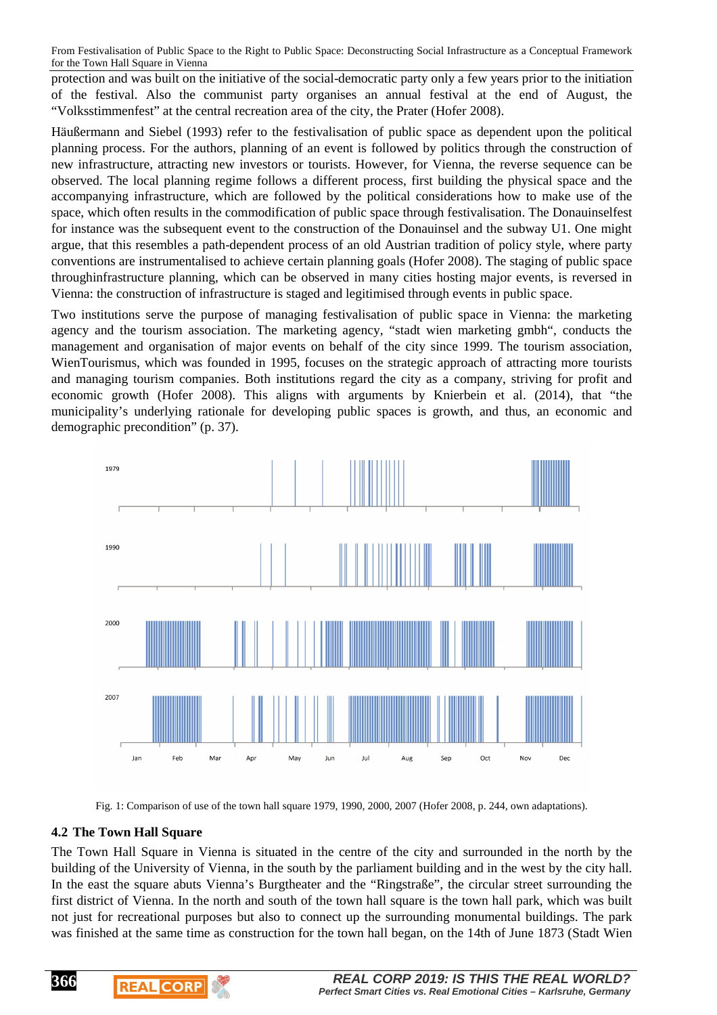protection and was built on the initiative of the social-democratic party only a few years prior to the initiation of the festival. Also the communist party organises an annual festival at the end of August, the "Volksstimmenfest" at the central recreation area of the city, the Prater (Hofer 2008).

Häußermann and Siebel (1993) refer to the festivalisation of public space as dependent upon the political planning process. For the authors, planning of an event is followed by politics through the construction of new infrastructure, attracting new investors or tourists. However, for Vienna, the reverse sequence can be observed. The local planning regime follows a different process, first building the physical space and the accompanying infrastructure, which are followed by the political considerations how to make use of the space, which often results in the commodification of public space through festivalisation. The Donauinselfest for instance was the subsequent event to the construction of the Donauinsel and the subway U1. One might argue, that this resembles a path-dependent process of an old Austrian tradition of policy style, where party conventions are instrumentalised to achieve certain planning goals (Hofer 2008). The staging of public space throughinfrastructure planning, which can be observed in many cities hosting major events, is reversed in Vienna: the construction of infrastructure is staged and legitimised through events in public space.

Two institutions serve the purpose of managing festivalisation of public space in Vienna: the marketing agency and the tourism association. The marketing agency, "stadt wien marketing gmbh", conducts the management and organisation of major events on behalf of the city since 1999. The tourism association, WienTourismus, which was founded in 1995, focuses on the strategic approach of attracting more tourists and managing tourism companies. Both institutions regard the city as a company, striving for profit and economic growth (Hofer 2008). This aligns with arguments by Knierbein et al. (2014), that "the municipality's underlying rationale for developing public spaces is growth, and thus, an economic and demographic precondition" (p. 37).



Fig. 1: Comparison of use of the town hall square 1979, 1990, 2000, 2007 (Hofer 2008, p. 244, own adaptations).

#### **4.2 The Town Hall Square**

**REAL CORP** 

**366**

The Town Hall Square in Vienna is situated in the centre of the city and surrounded in the north by the building of the University of Vienna, in the south by the parliament building and in the west by the city hall. In the east the square abuts Vienna's Burgtheater and the "Ringstraße", the circular street surrounding the first district of Vienna. In the north and south of the town hall square is the town hall park, which was built not just for recreational purposes but also to connect up the surrounding monumental buildings. The park was finished at the same time as construction for the town hall began, on the 14th of June 1873 (Stadt Wien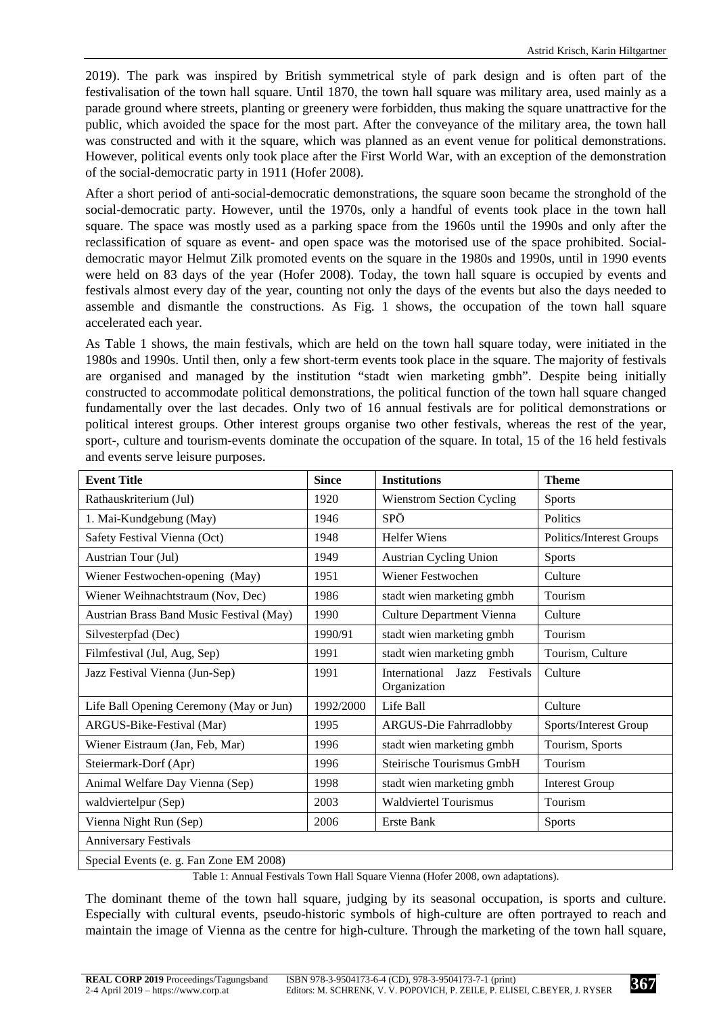2019). The park was inspired by British symmetrical style of park design and is often part of the festivalisation of the town hall square. Until 1870, the town hall square was military area, used mainly as a parade ground where streets, planting or greenery were forbidden, thus making the square unattractive for the public, which avoided the space for the most part. After the conveyance of the military area, the town hall was constructed and with it the square, which was planned as an event venue for political demonstrations. However, political events only took place after the First World War, with an exception of the demonstration of the social-democratic party in 1911 (Hofer 2008).

After a short period of anti-social-democratic demonstrations, the square soon became the stronghold of the social-democratic party. However, until the 1970s, only a handful of events took place in the town hall square. The space was mostly used as a parking space from the 1960s until the 1990s and only after the reclassification of square as event- and open space was the motorised use of the space prohibited. Socialdemocratic mayor Helmut Zilk promoted events on the square in the 1980s and 1990s, until in 1990 events were held on 83 days of the year (Hofer 2008). Today, the town hall square is occupied by events and festivals almost every day of the year, counting not only the days of the events but also the days needed to assemble and dismantle the constructions. As Fig. 1 shows, the occupation of the town hall square accelerated each year.

As Table 1 shows, the main festivals, which are held on the town hall square today, were initiated in the 1980s and 1990s. Until then, only a few short-term events took place in the square. The majority of festivals are organised and managed by the institution "stadt wien marketing gmbh". Despite being initially constructed to accommodate political demonstrations, the political function of the town hall square changed fundamentally over the last decades. Only two of 16 annual festivals are for political demonstrations or political interest groups. Other interest groups organise two other festivals, whereas the rest of the year, sport-, culture and tourism-events dominate the occupation of the square. In total, 15 of the 16 held festivals and events serve leisure purposes.

| <b>Event Title</b>                       | <b>Since</b> | <b>Institutions</b>                          | <b>Theme</b>             |
|------------------------------------------|--------------|----------------------------------------------|--------------------------|
| Rathauskriterium (Jul)                   | 1920         | <b>Wienstrom Section Cycling</b>             | <b>Sports</b>            |
| 1. Mai-Kundgebung (May)                  | 1946         | SPÖ                                          | Politics                 |
| Safety Festival Vienna (Oct)             | 1948         | <b>Helfer Wiens</b>                          | Politics/Interest Groups |
| Austrian Tour (Jul)                      | 1949         | <b>Austrian Cycling Union</b>                | <b>Sports</b>            |
| Wiener Festwochen-opening (May)          | 1951         | Wiener Festwochen                            | Culture                  |
| Wiener Weihnachtstraum (Nov, Dec)        | 1986         | stadt wien marketing gmbh                    | Tourism                  |
| Austrian Brass Band Music Festival (May) | 1990         | <b>Culture Department Vienna</b>             | Culture                  |
| Silvesterpfad (Dec)                      | 1990/91      | stadt wien marketing gmbh                    | Tourism                  |
| Filmfestival (Jul, Aug, Sep)             | 1991         | stadt wien marketing gmbh                    | Tourism, Culture         |
| Jazz Festival Vienna (Jun-Sep)           | 1991         | International Jazz Festivals<br>Organization | Culture                  |
| Life Ball Opening Ceremony (May or Jun)  | 1992/2000    | Life Ball                                    | Culture                  |
| ARGUS-Bike-Festival (Mar)                | 1995         | ARGUS-Die Fahrradlobby                       | Sports/Interest Group    |
| Wiener Eistraum (Jan, Feb, Mar)          | 1996         | stadt wien marketing gmbh                    | Tourism, Sports          |
| Steiermark-Dorf (Apr)                    | 1996         | Steirische Tourismus GmbH                    | Tourism                  |
| Animal Welfare Day Vienna (Sep)          | 1998         | stadt wien marketing gmbh                    | <b>Interest Group</b>    |
| waldviertelpur (Sep)                     | 2003         | <b>Waldviertel Tourismus</b>                 | Tourism                  |
| Vienna Night Run (Sep)                   | 2006         | Erste Bank                                   | <b>Sports</b>            |
| <b>Anniversary Festivals</b>             |              |                                              |                          |
| Special Events (e. g. Fan Zone EM 2008)  |              |                                              |                          |

Table 1: Annual Festivals Town Hall Square Vienna (Hofer 2008, own adaptations).

The dominant theme of the town hall square, judging by its seasonal occupation, is sports and culture. Especially with cultural events, pseudo-historic symbols of high-culture are often portrayed to reach and maintain the image of Vienna as the centre for high-culture. Through the marketing of the town hall square,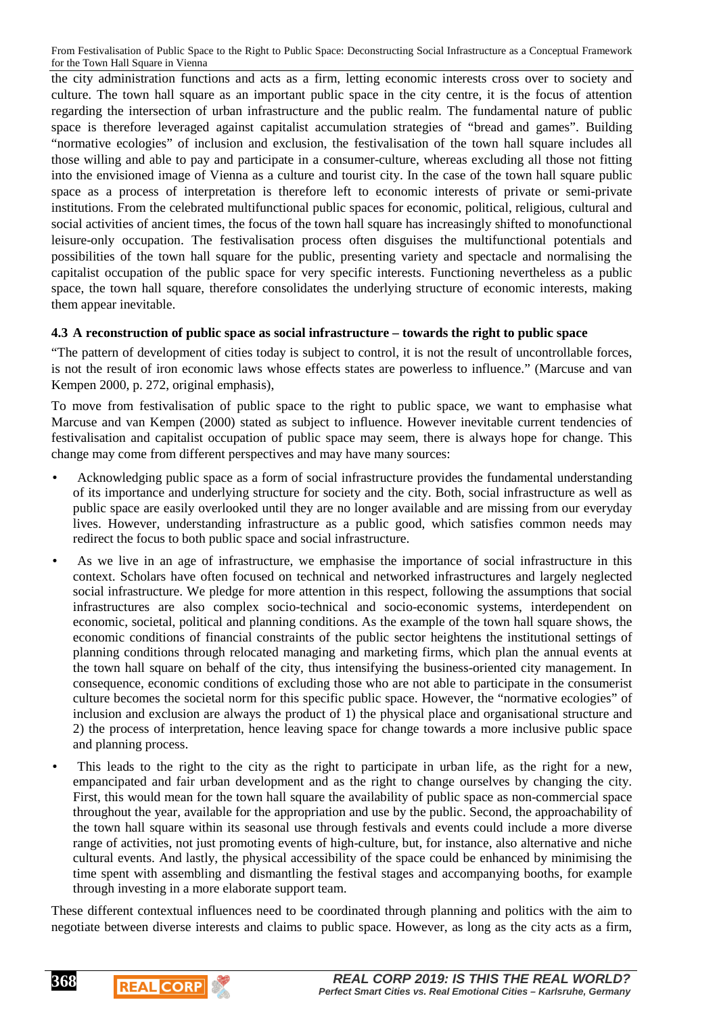the city administration functions and acts as a firm, letting economic interests cross over to society and culture. The town hall square as an important public space in the city centre, it is the focus of attention regarding the intersection of urban infrastructure and the public realm. The fundamental nature of public space is therefore leveraged against capitalist accumulation strategies of "bread and games". Building "normative ecologies" of inclusion and exclusion, the festivalisation of the town hall square includes all those willing and able to pay and participate in a consumer-culture, whereas excluding all those not fitting into the envisioned image of Vienna as a culture and tourist city. In the case of the town hall square public space as a process of interpretation is therefore left to economic interests of private or semi-private institutions. From the celebrated multifunctional public spaces for economic, political, religious, cultural and social activities of ancient times, the focus of the town hall square has increasingly shifted to monofunctional leisure-only occupation. The festivalisation process often disguises the multifunctional potentials and possibilities of the town hall square for the public, presenting variety and spectacle and normalising the capitalist occupation of the public space for very specific interests. Functioning nevertheless as a public space, the town hall square, therefore consolidates the underlying structure of economic interests, making them appear inevitable.

### **4.3 A reconstruction of public space as social infrastructure – towards the right to public space**

"The pattern of development of cities today is subject to control, it is not the result of uncontrollable forces, is not the result of iron economic laws whose effects states are powerless to influence." (Marcuse and van Kempen 2000, p. 272, original emphasis),

To move from festivalisation of public space to the right to public space, we want to emphasise what Marcuse and van Kempen (2000) stated as subject to influence. However inevitable current tendencies of festivalisation and capitalist occupation of public space may seem, there is always hope for change. This change may come from different perspectives and may have many sources:

- Acknowledging public space as a form of social infrastructure provides the fundamental understanding of its importance and underlying structure for society and the city. Both, social infrastructure as well as public space are easily overlooked until they are no longer available and are missing from our everyday lives. However, understanding infrastructure as a public good, which satisfies common needs may redirect the focus to both public space and social infrastructure.
- As we live in an age of infrastructure, we emphasise the importance of social infrastructure in this context. Scholars have often focused on technical and networked infrastructures and largely neglected social infrastructure. We pledge for more attention in this respect, following the assumptions that social infrastructures are also complex socio-technical and socio-economic systems, interdependent on economic, societal, political and planning conditions. As the example of the town hall square shows, the economic conditions of financial constraints of the public sector heightens the institutional settings of planning conditions through relocated managing and marketing firms, which plan the annual events at the town hall square on behalf of the city, thus intensifying the business-oriented city management. In consequence, economic conditions of excluding those who are not able to participate in the consumerist culture becomes the societal norm for this specific public space. However, the "normative ecologies" of inclusion and exclusion are always the product of 1) the physical place and organisational structure and 2) the process of interpretation, hence leaving space for change towards a more inclusive public space and planning process.
- This leads to the right to the city as the right to participate in urban life, as the right for a new, empancipated and fair urban development and as the right to change ourselves by changing the city. First, this would mean for the town hall square the availability of public space as non-commercial space throughout the year, available for the appropriation and use by the public. Second, the approachability of the town hall square within its seasonal use through festivals and events could include a more diverse range of activities, not just promoting events of high-culture, but, for instance, also alternative and niche cultural events. And lastly, the physical accessibility of the space could be enhanced by minimising the time spent with assembling and dismantling the festival stages and accompanying booths, for example through investing in a more elaborate support team.

These different contextual influences need to be coordinated through planning and politics with the aim to negotiate between diverse interests and claims to public space. However, as long as the city acts as a firm,



**REAL CORP**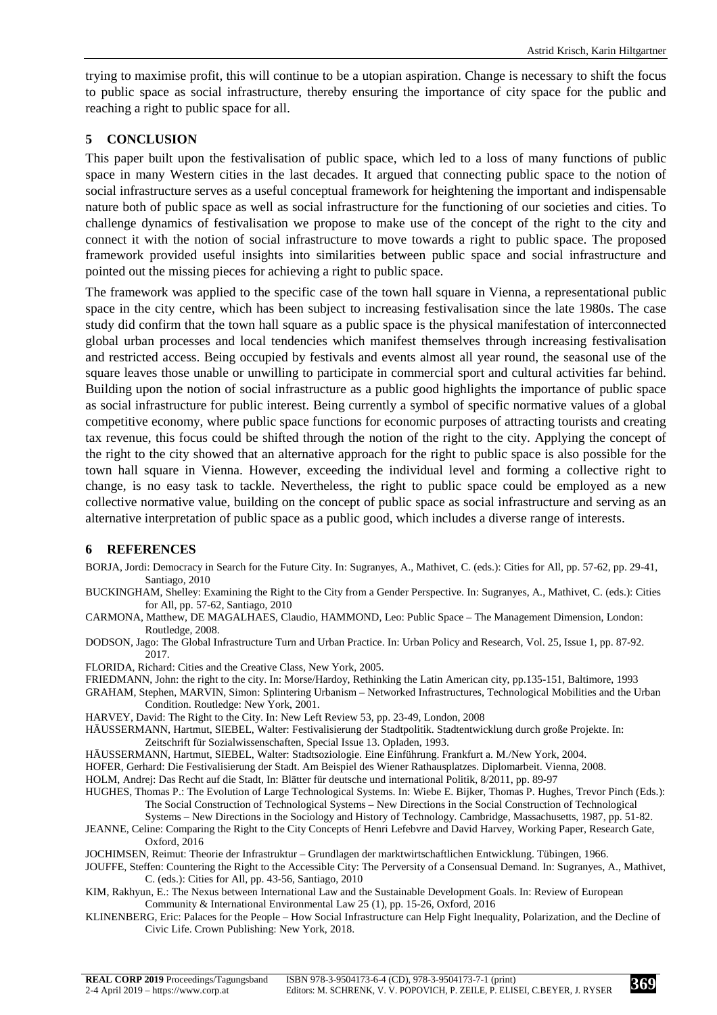trying to maximise profit, this will continue to be a utopian aspiration. Change is necessary to shift the focus to public space as social infrastructure, thereby ensuring the importance of city space for the public and reaching a right to public space for all.

#### **5 CONCLUSION**

This paper built upon the festivalisation of public space, which led to a loss of many functions of public space in many Western cities in the last decades. It argued that connecting public space to the notion of social infrastructure serves as a useful conceptual framework for heightening the important and indispensable nature both of public space as well as social infrastructure for the functioning of our societies and cities. To challenge dynamics of festivalisation we propose to make use of the concept of the right to the city and connect it with the notion of social infrastructure to move towards a right to public space. The proposed framework provided useful insights into similarities between public space and social infrastructure and pointed out the missing pieces for achieving a right to public space.

The framework was applied to the specific case of the town hall square in Vienna, a representational public space in the city centre, which has been subject to increasing festivalisation since the late 1980s. The case study did confirm that the town hall square as a public space is the physical manifestation of interconnected global urban processes and local tendencies which manifest themselves through increasing festivalisation and restricted access. Being occupied by festivals and events almost all year round, the seasonal use of the square leaves those unable or unwilling to participate in commercial sport and cultural activities far behind. Building upon the notion of social infrastructure as a public good highlights the importance of public space as social infrastructure for public interest. Being currently a symbol of specific normative values of a global competitive economy, where public space functions for economic purposes of attracting tourists and creating tax revenue, this focus could be shifted through the notion of the right to the city. Applying the concept of the right to the city showed that an alternative approach for the right to public space is also possible for the town hall square in Vienna. However, exceeding the individual level and forming a collective right to change, is no easy task to tackle. Nevertheless, the right to public space could be employed as a new collective normative value, building on the concept of public space as social infrastructure and serving as an alternative interpretation of public space as a public good, which includes a diverse range of interests.

#### **6 REFERENCES**

- BORJA, Jordi: Democracy in Search for the Future City. In: Sugranyes, A., Mathivet, C. (eds.): Cities for All, pp. 57-62, pp. 29-41, Santiago, 2010
- BUCKINGHAM, Shelley: Examining the Right to the City from a Gender Perspective. In: Sugranyes, A., Mathivet, C. (eds.): Cities for All, pp. 57-62, Santiago, 2010
- CARMONA, Matthew, DE MAGALHAES, Claudio, HAMMOND, Leo: Public Space The Management Dimension, London: Routledge, 2008.
- DODSON, Jago: The Global Infrastructure Turn and Urban Practice. In: Urban Policy and Research, Vol. 25, Issue 1, pp. 87-92. 2017.

FLORIDA, Richard: Cities and the Creative Class, New York, 2005.

FRIEDMANN, John: the right to the city. In: Morse/Hardoy, Rethinking the Latin American city, pp.135-151, Baltimore, 1993

GRAHAM, Stephen, MARVIN, Simon: Splintering Urbanism – Networked Infrastructures, Technological Mobilities and the Urban Condition. Routledge: New York, 2001.

- HARVEY, David: The Right to the City. In: New Left Review 53, pp. 23-49, London, 2008
- HÄUSSERMANN, Hartmut, SIEBEL, Walter: Festivalisierung der Stadtpolitik. Stadtentwicklung durch große Projekte. In: Zeitschrift für Sozialwissenschaften, Special Issue 13. Opladen, 1993.

HÄUSSERMANN, Hartmut, SIEBEL, Walter: Stadtsoziologie. Eine Einführung. Frankfurt a. M./New York, 2004.

- HOFER, Gerhard: Die Festivalisierung der Stadt. Am Beispiel des Wiener Rathausplatzes. Diplomarbeit. Vienna, 2008.
- HOLM, Andrej: Das Recht auf die Stadt, In: Blätter für deutsche und international Politik, 8/2011, pp. 89-97

HUGHES, Thomas P.: The Evolution of Large Technological Systems. In: Wiebe E. Bijker, Thomas P. Hughes, Trevor Pinch (Eds.): The Social Construction of Technological Systems – New Directions in the Social Construction of Technological

- Systems New Directions in the Sociology and History of Technology. Cambridge, Massachusetts, 1987, pp. 51-82. JEANNE, Celine: Comparing the Right to the City Concepts of Henri Lefebvre and David Harvey, Working Paper, Research Gate, Oxford, 2016
- JOCHIMSEN, Reimut: Theorie der Infrastruktur Grundlagen der marktwirtschaftlichen Entwicklung. Tübingen, 1966.
- JOUFFE, Steffen: Countering the Right to the Accessible City: The Perversity of a Consensual Demand. In: Sugranyes, A., Mathivet, C. (eds.): Cities for All, pp. 43-56, Santiago, 2010
- KIM, Rakhyun, E.: The Nexus between International Law and the Sustainable Development Goals. In: Review of European Community & International Environmental Law 25 (1), pp. 15-26, Oxford, 2016
- KLINENBERG, Eric: Palaces for the People How Social Infrastructure can Help Fight Inequality, Polarization, and the Decline of Civic Life. Crown Publishing: New York, 2018.